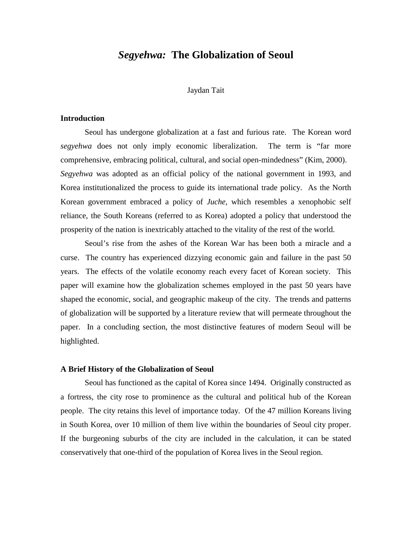# *Segyehwa:* **The Globalization of Seoul**

### Jaydan Tait

## **Introduction**

 Seoul has undergone globalization at a fast and furious rate. The Korean word *segyehwa* does not only imply economic liberalization. The term is "far more comprehensive, embracing political, cultural, and social open-mindedness" (Kim, 2000). *Segyehwa* was adopted as an official policy of the national government in 1993, and Korea institutionalized the process to guide its international trade policy. As the North Korean government embraced a policy of *Juche,* which resembles a xenophobic self reliance, the South Koreans (referred to as Korea) adopted a policy that understood the prosperity of the nation is inextricably attached to the vitality of the rest of the world.

 Seoul's rise from the ashes of the Korean War has been both a miracle and a curse. The country has experienced dizzying economic gain and failure in the past 50 years. The effects of the volatile economy reach every facet of Korean society. This paper will examine how the globalization schemes employed in the past 50 years have shaped the economic, social, and geographic makeup of the city. The trends and patterns of globalization will be supported by a literature review that will permeate throughout the paper. In a concluding section, the most distinctive features of modern Seoul will be highlighted.

#### **A Brief History of the Globalization of Seoul**

Seoul has functioned as the capital of Korea since 1494. Originally constructed as a fortress, the city rose to prominence as the cultural and political hub of the Korean people. The city retains this level of importance today. Of the 47 million Koreans living in South Korea, over 10 million of them live within the boundaries of Seoul city proper. If the burgeoning suburbs of the city are included in the calculation, it can be stated conservatively that one-third of the population of Korea lives in the Seoul region.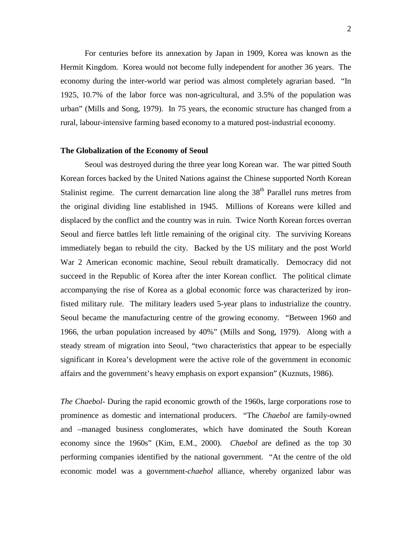For centuries before its annexation by Japan in 1909, Korea was known as the Hermit Kingdom. Korea would not become fully independent for another 36 years. The economy during the inter-world war period was almost completely agrarian based. "In 1925, 10.7% of the labor force was non-agricultural, and 3.5% of the population was urban" (Mills and Song, 1979). In 75 years, the economic structure has changed from a rural, labour-intensive farming based economy to a matured post-industrial economy.

#### **The Globalization of the Economy of Seoul**

 Seoul was destroyed during the three year long Korean war. The war pitted South Korean forces backed by the United Nations against the Chinese supported North Korean Stalinist regime. The current demarcation line along the  $38<sup>th</sup>$  Parallel runs metres from the original dividing line established in 1945. Millions of Koreans were killed and displaced by the conflict and the country was in ruin. Twice North Korean forces overran Seoul and fierce battles left little remaining of the original city. The surviving Koreans immediately began to rebuild the city. Backed by the US military and the post World War 2 American economic machine, Seoul rebuilt dramatically. Democracy did not succeed in the Republic of Korea after the inter Korean conflict. The political climate accompanying the rise of Korea as a global economic force was characterized by ironfisted military rule. The military leaders used 5-year plans to industrialize the country. Seoul became the manufacturing centre of the growing economy. "Between 1960 and 1966, the urban population increased by 40%" (Mills and Song, 1979). Along with a steady stream of migration into Seoul, "two characteristics that appear to be especially significant in Korea's development were the active role of the government in economic affairs and the government's heavy emphasis on export expansion" (Kuznuts, 1986).

*The Chaebol-* During the rapid economic growth of the 1960s, large corporations rose to prominence as domestic and international producers. "The *Chaebol* are family-owned and –managed business conglomerates, which have dominated the South Korean economy since the 1960s" (Kim, E.M., 2000). *Chaebol* are defined as the top 30 performing companies identified by the national government. "At the centre of the old economic model was a government-*chaebol* alliance, whereby organized labor was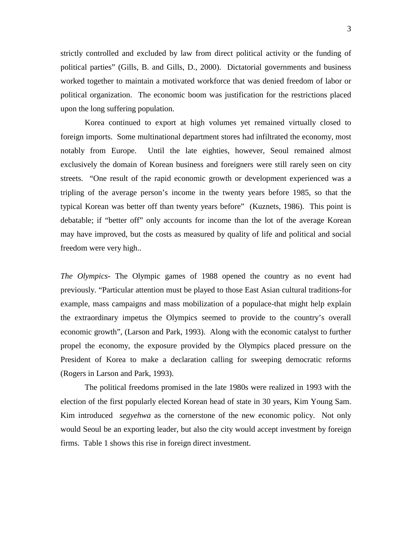strictly controlled and excluded by law from direct political activity or the funding of political parties" (Gills, B. and Gills, D., 2000). Dictatorial governments and business worked together to maintain a motivated workforce that was denied freedom of labor or political organization. The economic boom was justification for the restrictions placed upon the long suffering population.

Korea continued to export at high volumes yet remained virtually closed to foreign imports. Some multinational department stores had infiltrated the economy, most notably from Europe. Until the late eighties, however, Seoul remained almost exclusively the domain of Korean business and foreigners were still rarely seen on city streets. "One result of the rapid economic growth or development experienced was a tripling of the average person's income in the twenty years before 1985, so that the typical Korean was better off than twenty years before" (Kuznets, 1986). This point is debatable; if "better off" only accounts for income than the lot of the average Korean may have improved, but the costs as measured by quality of life and political and social freedom were very high..

*The Olympics-* The Olympic games of 1988 opened the country as no event had previously. "Particular attention must be played to those East Asian cultural traditions-for example, mass campaigns and mass mobilization of a populace-that might help explain the extraordinary impetus the Olympics seemed to provide to the country's overall economic growth", (Larson and Park, 1993). Along with the economic catalyst to further propel the economy, the exposure provided by the Olympics placed pressure on the President of Korea to make a declaration calling for sweeping democratic reforms (Rogers in Larson and Park, 1993).

The political freedoms promised in the late 1980s were realized in 1993 with the election of the first popularly elected Korean head of state in 30 years, Kim Young Sam. Kim introduced *segyehwa* as the cornerstone of the new economic policy. Not only would Seoul be an exporting leader, but also the city would accept investment by foreign firms. Table 1 shows this rise in foreign direct investment.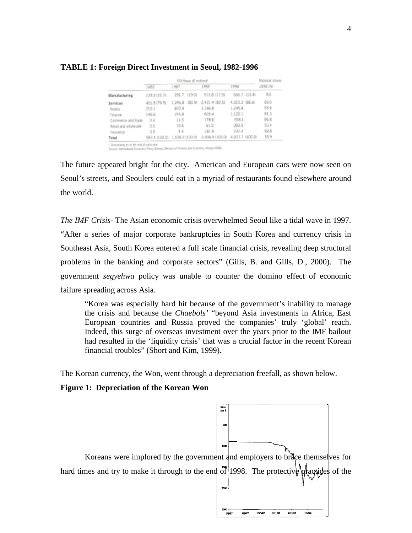#### **TABLE 1: Foreign Direct Investment in Seoul, 1982-1996**

|                      |                               | National share,   |                |                                 |          |
|----------------------|-------------------------------|-------------------|----------------|---------------------------------|----------|
|                      | 1982                          | 1987              | 1992           | 2996                            | 1996 (%) |
| Manufacturing        | 133.3 (22.7)                  | 291.7 (19.0)      | 512.8 (17.5)   | 666.7 (13.4)                    | 8.0      |
| Services             | 451.8 (76.9)                  | 690.90<br>1,245.8 | 2,421.4 (82.5) | 4.310.3 (86.6)                  | 69.D     |
| Hatels               | 212.1                         | 872.9             | 1,186.8        | 1,245.8                         | 53.9     |
| Finance              | 146.6                         | 216.8             | 605.4          | 1.122.1                         | 81.3     |
| Commerce and trade   | 0.4                           | 11.5              | 178.6          | 558.1                           | 86.8     |
| Retail and wholesale | 0.5                           | 16.6              | 61.0           | 283.5                           | 50.4     |
| Insurance            | 3.0                           | 4.4               | 181.9          | 237.4                           | 99.8     |
| Total                | 587.4 (100.0) 1,539.2 (100.0) |                   |                | 2,934.9 (103.0) 4,977.7 (100.0) | 33.9     |
|                      |                               |                   |                |                                 |          |

\* Outstanding as at the end of oach your<br>Source: International Examples: Palicy Bureau, Melotry of Friance and Economy, Horso (1996)

The future appeared bright for the city. American and European cars were now seen on Seoul's streets, and Seoulers could eat in a myriad of restaurants found elsewhere around the world.

*The IMF Crisis-* The Asian economic crisis overwhelmed Seoul like a tidal wave in 1997. "After a series of major corporate bankruptcies in South Korea and currency crisis in Southeast Asia, South Korea entered a full scale financial crisis, revealing deep structural problems in the banking and corporate sectors" (Gills, B. and Gills, D., 2000). The government *segyehwa* policy was unable to counter the domino effect of economic failure spreading across Asia.

"Korea was especially hard hit because of the government's inability to manage the crisis and because the *Chaebols'* "beyond Asia investments in Africa, East European countries and Russia proved the companies' truly 'global' reach. Indeed, this surge of overseas investment over the years prior to the IMF bailout had resulted in the 'liquidity crisis' that was a crucial factor in the recent Korean financial troubles" (Short and Kim, 1999).

The Korean currency, the Won, went through a depreciation freefall, as shown below.

## **Figure 1: Depreciation of the Korean Won**

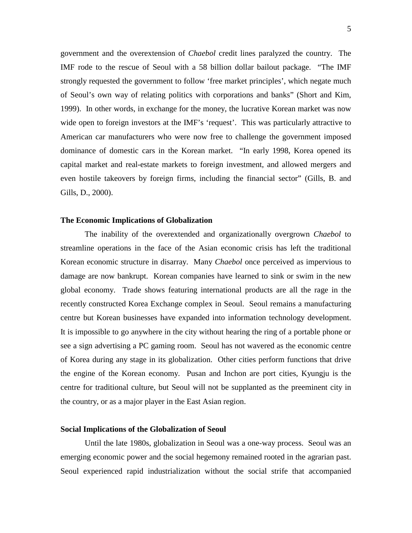government and the overextension of *Chaebol* credit lines paralyzed the country. The IMF rode to the rescue of Seoul with a 58 billion dollar bailout package. "The IMF strongly requested the government to follow 'free market principles', which negate much of Seoul's own way of relating politics with corporations and banks" (Short and Kim, 1999). In other words, in exchange for the money, the lucrative Korean market was now wide open to foreign investors at the IMF's 'request'. This was particularly attractive to American car manufacturers who were now free to challenge the government imposed dominance of domestic cars in the Korean market. "In early 1998, Korea opened its capital market and real-estate markets to foreign investment, and allowed mergers and even hostile takeovers by foreign firms, including the financial sector" (Gills, B. and Gills, D., 2000).

#### **The Economic Implications of Globalization**

The inability of the overextended and organizationally overgrown *Chaebol* to streamline operations in the face of the Asian economic crisis has left the traditional Korean economic structure in disarray. Many *Chaebol* once perceived as impervious to damage are now bankrupt. Korean companies have learned to sink or swim in the new global economy. Trade shows featuring international products are all the rage in the recently constructed Korea Exchange complex in Seoul. Seoul remains a manufacturing centre but Korean businesses have expanded into information technology development. It is impossible to go anywhere in the city without hearing the ring of a portable phone or see a sign advertising a PC gaming room. Seoul has not wavered as the economic centre of Korea during any stage in its globalization. Other cities perform functions that drive the engine of the Korean economy. Pusan and Inchon are port cities, Kyungju is the centre for traditional culture, but Seoul will not be supplanted as the preeminent city in the country, or as a major player in the East Asian region.

## **Social Implications of the Globalization of Seoul**

Until the late 1980s, globalization in Seoul was a one-way process. Seoul was an emerging economic power and the social hegemony remained rooted in the agrarian past. Seoul experienced rapid industrialization without the social strife that accompanied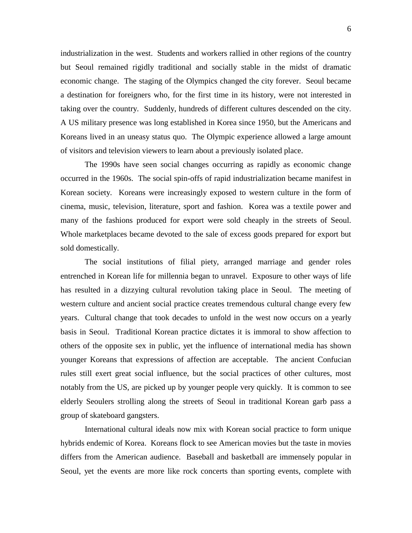industrialization in the west. Students and workers rallied in other regions of the country but Seoul remained rigidly traditional and socially stable in the midst of dramatic economic change. The staging of the Olympics changed the city forever. Seoul became a destination for foreigners who, for the first time in its history, were not interested in taking over the country. Suddenly, hundreds of different cultures descended on the city. A US military presence was long established in Korea since 1950, but the Americans and Koreans lived in an uneasy status quo. The Olympic experience allowed a large amount of visitors and television viewers to learn about a previously isolated place.

 The 1990s have seen social changes occurring as rapidly as economic change occurred in the 1960s. The social spin-offs of rapid industrialization became manifest in Korean society. Koreans were increasingly exposed to western culture in the form of cinema, music, television, literature, sport and fashion. Korea was a textile power and many of the fashions produced for export were sold cheaply in the streets of Seoul. Whole marketplaces became devoted to the sale of excess goods prepared for export but sold domestically.

The social institutions of filial piety, arranged marriage and gender roles entrenched in Korean life for millennia began to unravel. Exposure to other ways of life has resulted in a dizzying cultural revolution taking place in Seoul. The meeting of western culture and ancient social practice creates tremendous cultural change every few years. Cultural change that took decades to unfold in the west now occurs on a yearly basis in Seoul. Traditional Korean practice dictates it is immoral to show affection to others of the opposite sex in public, yet the influence of international media has shown younger Koreans that expressions of affection are acceptable. The ancient Confucian rules still exert great social influence, but the social practices of other cultures, most notably from the US, are picked up by younger people very quickly. It is common to see elderly Seoulers strolling along the streets of Seoul in traditional Korean garb pass a group of skateboard gangsters.

International cultural ideals now mix with Korean social practice to form unique hybrids endemic of Korea. Koreans flock to see American movies but the taste in movies differs from the American audience. Baseball and basketball are immensely popular in Seoul, yet the events are more like rock concerts than sporting events, complete with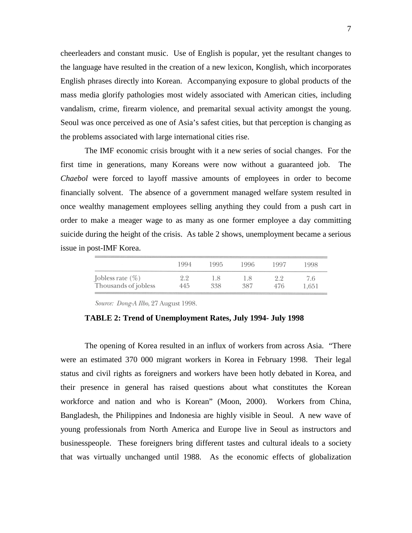cheerleaders and constant music. Use of English is popular, yet the resultant changes to the language have resulted in the creation of a new lexicon, Konglish, which incorporates English phrases directly into Korean. Accompanying exposure to global products of the mass media glorify pathologies most widely associated with American cities, including vandalism, crime, firearm violence, and premarital sexual activity amongst the young. Seoul was once perceived as one of Asia's safest cities, but that perception is changing as the problems associated with large international cities rise.

The IMF economic crisis brought with it a new series of social changes. For the first time in generations, many Koreans were now without a guaranteed job. The *Chaebol* were forced to layoff massive amounts of employees in order to become financially solvent. The absence of a government managed welfare system resulted in once wealthy management employees selling anything they could from a push cart in order to make a meager wage to as many as one former employee a day committing suicide during the height of the crisis. As table 2 shows, unemployment became a serious issue in post-IMF Korea.

|                                             | 1994       | 1995       | 1996       | 1997             | 1998         |
|---------------------------------------------|------------|------------|------------|------------------|--------------|
| Jobless rate $(\%)$<br>Thousands of jobless | 2.2<br>445 | 1.8<br>338 | L.8<br>387 | 99<br>4.A<br>476 | 7.6<br>1.651 |

Source: Dong-A Ilbo, 27 August 1998.

**TABLE 2: Trend of Unemployment Rates, July 1994- July 1998** 

The opening of Korea resulted in an influx of workers from across Asia. "There were an estimated 370 000 migrant workers in Korea in February 1998. Their legal status and civil rights as foreigners and workers have been hotly debated in Korea, and their presence in general has raised questions about what constitutes the Korean workforce and nation and who is Korean" (Moon, 2000). Workers from China, Bangladesh, the Philippines and Indonesia are highly visible in Seoul. A new wave of young professionals from North America and Europe live in Seoul as instructors and businesspeople. These foreigners bring different tastes and cultural ideals to a society that was virtually unchanged until 1988. As the economic effects of globalization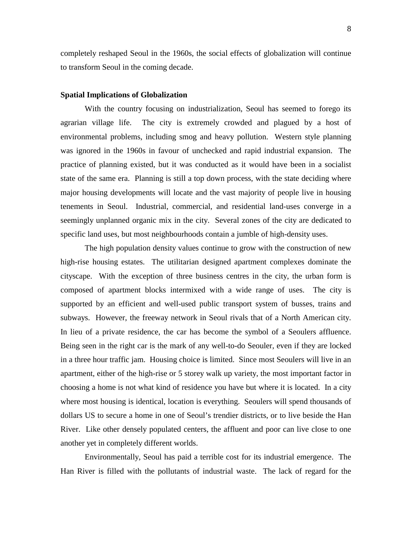completely reshaped Seoul in the 1960s, the social effects of globalization will continue to transform Seoul in the coming decade.

#### **Spatial Implications of Globalization**

With the country focusing on industrialization, Seoul has seemed to forego its agrarian village life. The city is extremely crowded and plagued by a host of environmental problems, including smog and heavy pollution. Western style planning was ignored in the 1960s in favour of unchecked and rapid industrial expansion. The practice of planning existed, but it was conducted as it would have been in a socialist state of the same era. Planning is still a top down process, with the state deciding where major housing developments will locate and the vast majority of people live in housing tenements in Seoul. Industrial, commercial, and residential land-uses converge in a seemingly unplanned organic mix in the city. Several zones of the city are dedicated to specific land uses, but most neighbourhoods contain a jumble of high-density uses.

The high population density values continue to grow with the construction of new high-rise housing estates. The utilitarian designed apartment complexes dominate the cityscape. With the exception of three business centres in the city, the urban form is composed of apartment blocks intermixed with a wide range of uses. The city is supported by an efficient and well-used public transport system of busses, trains and subways. However, the freeway network in Seoul rivals that of a North American city. In lieu of a private residence, the car has become the symbol of a Seoulers affluence. Being seen in the right car is the mark of any well-to-do Seouler, even if they are locked in a three hour traffic jam. Housing choice is limited. Since most Seoulers will live in an apartment, either of the high-rise or 5 storey walk up variety, the most important factor in choosing a home is not what kind of residence you have but where it is located. In a city where most housing is identical, location is everything. Seoulers will spend thousands of dollars US to secure a home in one of Seoul's trendier districts, or to live beside the Han River. Like other densely populated centers, the affluent and poor can live close to one another yet in completely different worlds.

 Environmentally, Seoul has paid a terrible cost for its industrial emergence. The Han River is filled with the pollutants of industrial waste. The lack of regard for the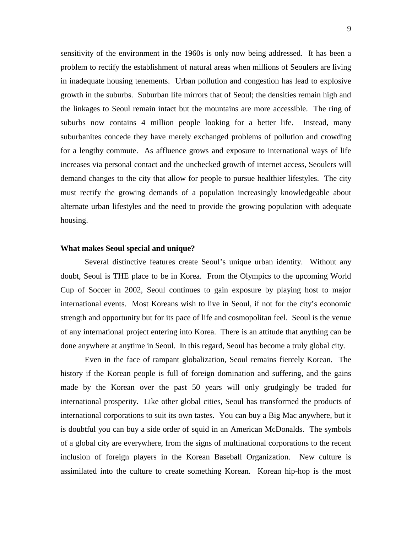sensitivity of the environment in the 1960s is only now being addressed. It has been a problem to rectify the establishment of natural areas when millions of Seoulers are living in inadequate housing tenements. Urban pollution and congestion has lead to explosive growth in the suburbs. Suburban life mirrors that of Seoul; the densities remain high and the linkages to Seoul remain intact but the mountains are more accessible. The ring of suburbs now contains 4 million people looking for a better life. Instead, many suburbanites concede they have merely exchanged problems of pollution and crowding for a lengthy commute. As affluence grows and exposure to international ways of life increases via personal contact and the unchecked growth of internet access, Seoulers will demand changes to the city that allow for people to pursue healthier lifestyles. The city must rectify the growing demands of a population increasingly knowledgeable about alternate urban lifestyles and the need to provide the growing population with adequate housing.

### **What makes Seoul special and unique?**

 Several distinctive features create Seoul's unique urban identity. Without any doubt, Seoul is THE place to be in Korea. From the Olympics to the upcoming World Cup of Soccer in 2002, Seoul continues to gain exposure by playing host to major international events. Most Koreans wish to live in Seoul, if not for the city's economic strength and opportunity but for its pace of life and cosmopolitan feel. Seoul is the venue of any international project entering into Korea. There is an attitude that anything can be done anywhere at anytime in Seoul. In this regard, Seoul has become a truly global city.

 Even in the face of rampant globalization, Seoul remains fiercely Korean. The history if the Korean people is full of foreign domination and suffering, and the gains made by the Korean over the past 50 years will only grudgingly be traded for international prosperity. Like other global cities, Seoul has transformed the products of international corporations to suit its own tastes. You can buy a Big Mac anywhere, but it is doubtful you can buy a side order of squid in an American McDonalds. The symbols of a global city are everywhere, from the signs of multinational corporations to the recent inclusion of foreign players in the Korean Baseball Organization. New culture is assimilated into the culture to create something Korean. Korean hip-hop is the most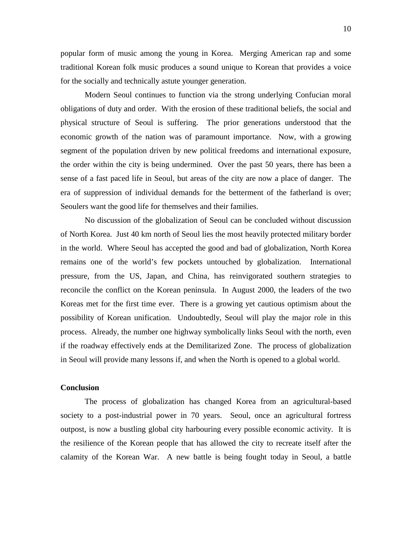popular form of music among the young in Korea. Merging American rap and some traditional Korean folk music produces a sound unique to Korean that provides a voice for the socially and technically astute younger generation.

 Modern Seoul continues to function via the strong underlying Confucian moral obligations of duty and order. With the erosion of these traditional beliefs, the social and physical structure of Seoul is suffering. The prior generations understood that the economic growth of the nation was of paramount importance. Now, with a growing segment of the population driven by new political freedoms and international exposure, the order within the city is being undermined. Over the past 50 years, there has been a sense of a fast paced life in Seoul, but areas of the city are now a place of danger. The era of suppression of individual demands for the betterment of the fatherland is over; Seoulers want the good life for themselves and their families.

 No discussion of the globalization of Seoul can be concluded without discussion of North Korea. Just 40 km north of Seoul lies the most heavily protected military border in the world. Where Seoul has accepted the good and bad of globalization, North Korea remains one of the world's few pockets untouched by globalization. International pressure, from the US, Japan, and China, has reinvigorated southern strategies to reconcile the conflict on the Korean peninsula. In August 2000, the leaders of the two Koreas met for the first time ever. There is a growing yet cautious optimism about the possibility of Korean unification. Undoubtedly, Seoul will play the major role in this process. Already, the number one highway symbolically links Seoul with the north, even if the roadway effectively ends at the Demilitarized Zone. The process of globalization in Seoul will provide many lessons if, and when the North is opened to a global world.

#### **Conclusion**

The process of globalization has changed Korea from an agricultural-based society to a post-industrial power in 70 years. Seoul, once an agricultural fortress outpost, is now a bustling global city harbouring every possible economic activity. It is the resilience of the Korean people that has allowed the city to recreate itself after the calamity of the Korean War. A new battle is being fought today in Seoul, a battle